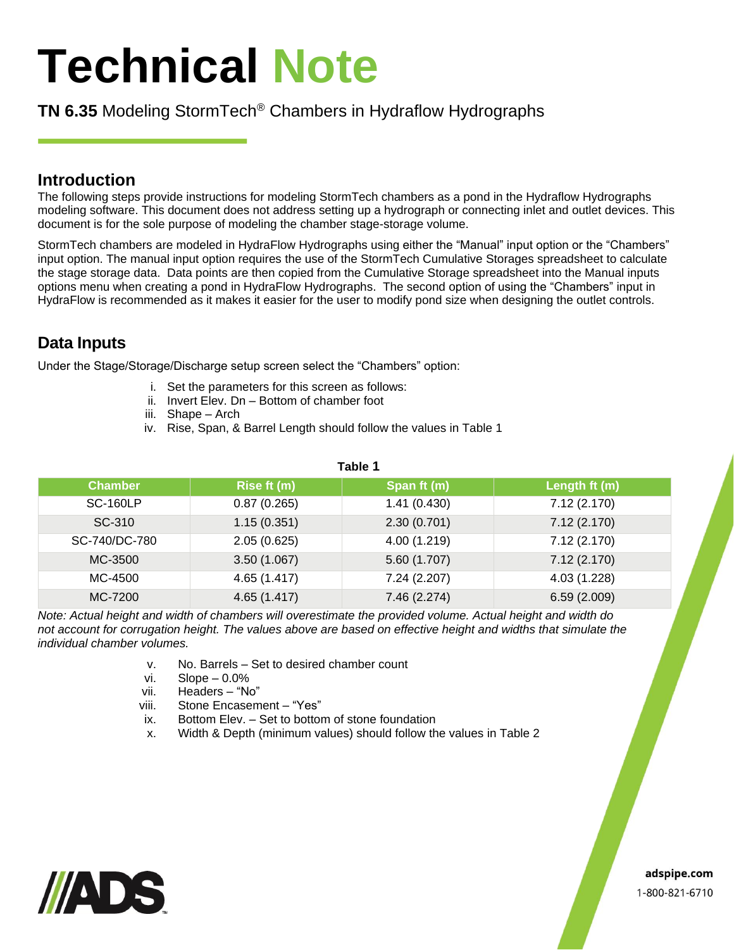# **Technical Note**

# **TN 6.35** Modeling StormTech® Chambers in Hydraflow Hydrographs

## **Introduction**

The following steps provide instructions for modeling StormTech chambers as a pond in the Hydraflow Hydrographs modeling software. This document does not address setting up a hydrograph or connecting inlet and outlet devices. This document is for the sole purpose of modeling the chamber stage-storage volume.

StormTech chambers are modeled in HydraFlow Hydrographs using either the "Manual" input option or the "Chambers" input option. The manual input option requires the use of the StormTech Cumulative Storages spreadsheet to calculate the stage storage data. Data points are then copied from the Cumulative Storage spreadsheet into the Manual inputs options menu when creating a pond in HydraFlow Hydrographs. The second option of using the "Chambers" input in HydraFlow is recommended as it makes it easier for the user to modify pond size when designing the outlet controls.

# **Data Inputs**

Under the Stage/Storage/Discharge setup screen select the "Chambers" option:

- i. Set the parameters for this screen as follows:
- ii. Invert Elev. Dn Bottom of chamber foot
- iii. Shape Arch
- iv. Rise, Span, & Barrel Length should follow the values in Table 1

| . avıcı         |              |              |               |  |  |  |
|-----------------|--------------|--------------|---------------|--|--|--|
| <b>Chamber</b>  | Rise ft (m)  | Span ft (m)  | Length ft (m) |  |  |  |
| <b>SC-160LP</b> | 0.87(0.265)  | 1.41(0.430)  | 7.12(2.170)   |  |  |  |
| SC-310          | 1.15(0.351)  | 2.30(0.701)  | 7.12(2.170)   |  |  |  |
| SC-740/DC-780   | 2.05(0.625)  | 4.00 (1.219) | 7.12(2.170)   |  |  |  |
| MC-3500         | 3.50(1.067)  | 5.60 (1.707) | 7.12(2.170)   |  |  |  |
| MC-4500         | 4.65 (1.417) | 7.24 (2.207) | 4.03 (1.228)  |  |  |  |
| MC-7200         | 4.65(1.417)  | 7.46 (2.274) | 6.59(2.009)   |  |  |  |

**Table 1**

*Note: Actual height and width of chambers will overestimate the provided volume. Actual height and width do not account for corrugation height. The values above are based on effective height and widths that simulate the individual chamber volumes.*

- v. No. Barrels Set to desired chamber count
- vi.  $Slope 0.0\%$
- vii. Headers "No"
- viii. Stone Encasement "Yes"
- ix. Bottom Elev. Set to bottom of stone foundation
- x. Width & Depth (minimum values) should follow the values in Table 2



adspipe.com 1-800-821-6710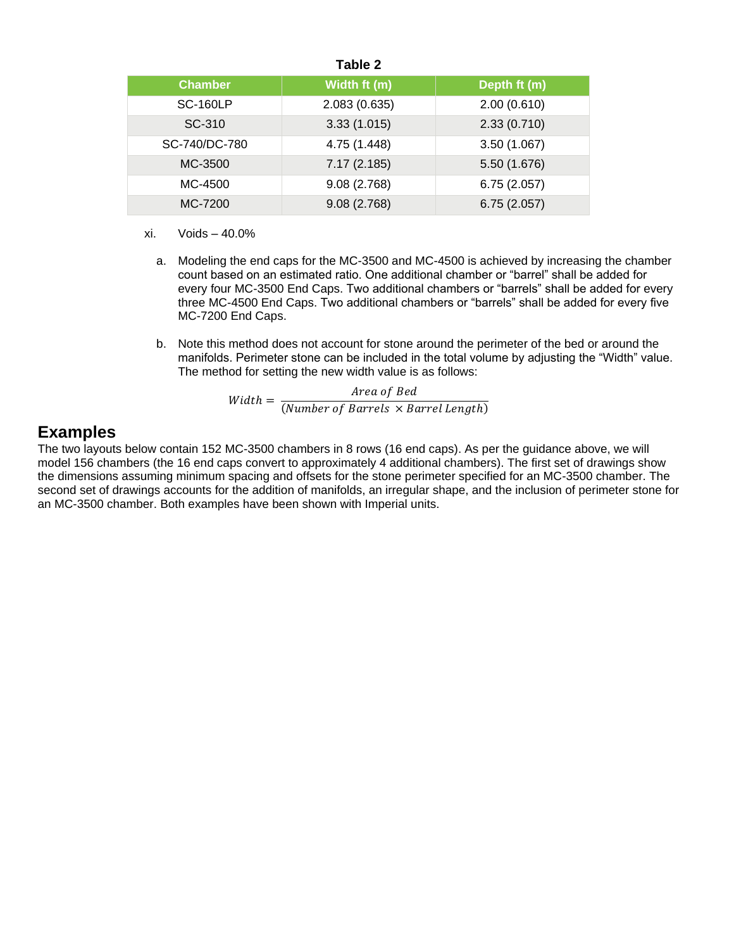|  | I<br>Ш<br>٦. |  |  |
|--|--------------|--|--|
|--|--------------|--|--|

| <b>Chamber</b>  | Width ft (m) | Depth ft (m) |
|-----------------|--------------|--------------|
| <b>SC-160LP</b> | 2.083(0.635) | 2.00(0.610)  |
| SC-310          | 3.33(1.015)  | 2.33(0.710)  |
| SC-740/DC-780   | 4.75 (1.448) | 3.50(1.067)  |
| MC-3500         | 7.17(2.185)  | 5.50 (1.676) |
| MC-4500         | 9.08 (2.768) | 6.75(2.057)  |
| MC-7200         | 9.08(2.768)  | 6.75(2.057)  |

- xi. Voids 40.0%
	- a. Modeling the end caps for the MC-3500 and MC-4500 is achieved by increasing the chamber count based on an estimated ratio. One additional chamber or "barrel" shall be added for every four MC-3500 End Caps. Two additional chambers or "barrels" shall be added for every three MC-4500 End Caps. Two additional chambers or "barrels" shall be added for every five MC-7200 End Caps.
	- b. Note this method does not account for stone around the perimeter of the bed or around the manifolds. Perimeter stone can be included in the total volume by adjusting the "Width" value. The method for setting the new width value is as follows:

 $Width = \frac{Area\ of\ Bed}{(Number of\ Bemula \times B)}$ (Number of Barrels  $\times$  Barrel Length)

### **Examples**

The two layouts below contain 152 MC-3500 chambers in 8 rows (16 end caps). As per the guidance above, we will model 156 chambers (the 16 end caps convert to approximately 4 additional chambers). The first set of drawings show the dimensions assuming minimum spacing and offsets for the stone perimeter specified for an MC-3500 chamber. The second set of drawings accounts for the addition of manifolds, an irregular shape, and the inclusion of perimeter stone for an MC-3500 chamber. Both examples have been shown with Imperial units.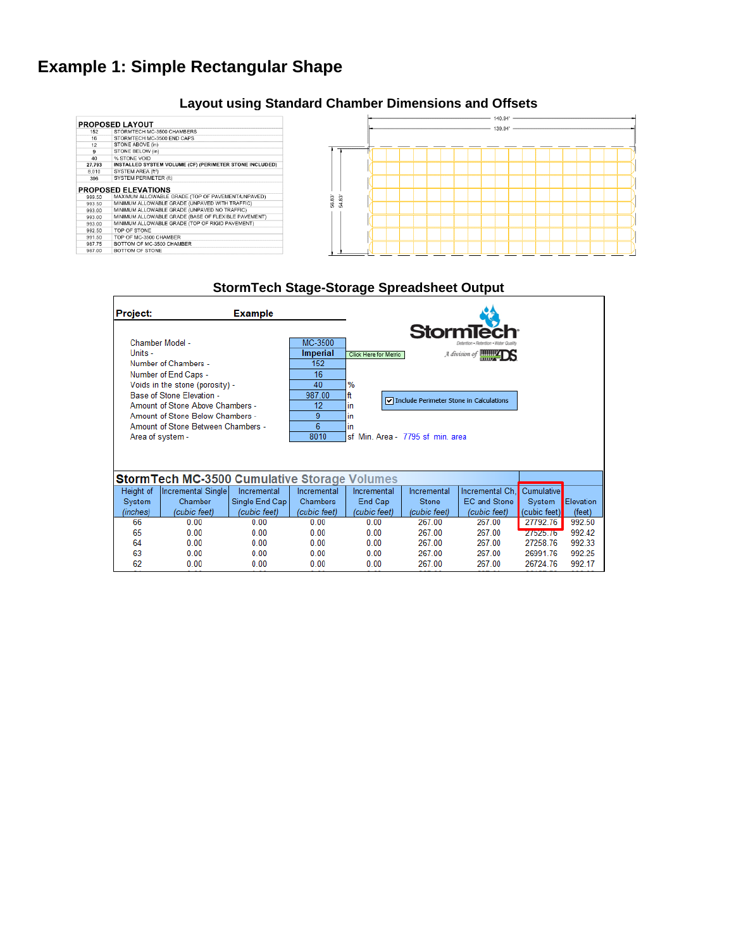# **Example 1: Simple Rectangular Shape**

#### 140.94' **PROPOSED LAYOUT**<br>152 STORMTECH MC-3500 CHAMBERS<br>16 STORMTECH MC-3500 END CAPS 139.94'  $\frac{132}{16}$ <br> $\frac{12}{9}$ STONE ABOVE (in) STONE RELOW (in) STONE BELOW (in)<br>WSTONE VOID<br>INSTALLED SYSTEM VOLUME (CF) (PERIMETER STONE INCLUDED)<br>SYSTEM AREA (fi<sup>2)</sup>  $\frac{9}{40}$  $\begin{array}{r}\n 40 \\
 \hline\n 27,793 \\
 \hline\n 8,010 \\
 \hline\n 396\n \end{array}$ SYSTEM AREA (ft<sup>2</sup>)<br>SYSTEM AREA (ft<sup>2</sup>)<br>SYSTEM PERIMETER (ft) **PROPOSED ELEVATIONS**<br>
999.50 MINIMUM ALLOWABLE GRADE (TOP OF PAVEMENT/UNPAVED)<br>
99.350 MINIMUM ALLOWABLE GRADE (UNPAVED WITH TRAFFIC)<br>
993.00 MINIMUM ALLOWABLE GRADE (UNPAVED WITH TRAFFIC)<br>
993.00 MINIMUM ALLOWABLE GRADE 56.83 54.83 992.50<br>991.50<br>987.75<br>987.00 TOP OF STONE<br>TOP OF MC-3500 CHAMBER BOTTOM OF MC-3500 CHAMBER<br>BOTTOM OF MC-3500 CHAMBER

**Layout using Standard Chamber Dimensions and Offsets**

#### **StormTech Stage-Storage Spreadsheet Output**Project: **Example StormTecl** Chamber Model -MC-3500 Click Here for Metric Units -**Imperial** A division of **MINITEDS** Number of Chambers - $152$ Number of End Caps - $16$ Voids in the stone (porosity) - $40$ % Base of Stone Elevation -987.00 ft  $\boxed{\mathbf{v}}$  Include Perimeter Stone in Calculations Amount of Stone Above Chambers - $\overline{12}$ in Amount of Stone Below Chambers - $\overline{9}$ lin Amount of Stone Between Chambers -6 in Area of system -8010 sf Min. Area - 7795 sf min. area **Storm Tech MC-3500 Cumulative Storage Volumes Incremental Single** Incremental Incremental Incremental Incremental Ch, Cumulative Height of Incremental System Chamber Single End Cap Chambers End Cap Stone EC and Stone System Elevation (cubic feet) (cubic feet) (inches) (cubic feet) (cubic feet) (cubic feet) (cubic feet) (cubic feet) (feet) 66  $0.00$  $0.00$  $0.00$  $0.00$ 267.00 267.00 27792.76 992.50 65  $0.00$  $0.00$  $0.00$  $0.00$ 267.00 267.00 21525.76 992.42 64  $0.00$  $0.00$  $0.00$  $0.00$ 267.00 267.00 27258.76 992.33 63  $0.00$  $0.00$  $0.00$  $0.00$ 267 00 267.00 26991.76 992.25 62  $0.00$  $0.00$  $0.00$  $0.00$ 267.00 267.00 26724.76 992.17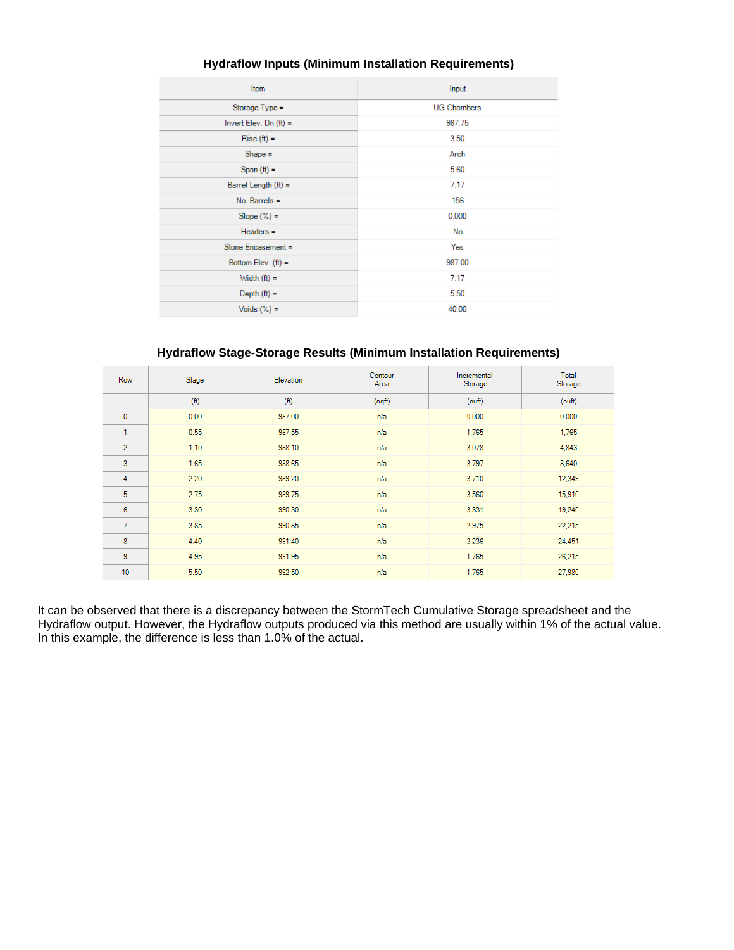| Item                     | Input              |  |  |
|--------------------------|--------------------|--|--|
| Storage Type =           | <b>UG Chambers</b> |  |  |
| Invert Elev. Dn $(ft)$ = | 987.75             |  |  |
| $Rise (ft) =$            | 3.50               |  |  |
| $Shape =$                | Arch               |  |  |
| $Span(ft) =$             | 5.60               |  |  |
| Barrel Length $(ft)$ =   | 7.17               |  |  |
| $No.$ Barrels =          | 156                |  |  |
| $Slope (\%) =$           | 0.000              |  |  |
| $Headers =$              | No                 |  |  |
| Stone Encasement =       | Yes                |  |  |
| Bottom Elev. $(ft) =$    | 987.00             |  |  |
| Width $(ft) =$           | 7.17               |  |  |
| Depth $(ft) =$           | 5.50               |  |  |
| Voids $(\%)$ =           | 40.00              |  |  |

#### **Hydraflow Inputs (Minimum Installation Requirements)**

#### **Hydraflow Stage-Storage Results (Minimum Installation Requirements)**

| Row            | Stage | Elevation         | Contour<br>Area | Incremental<br>Storage | Total<br>Storage |
|----------------|-------|-------------------|-----------------|------------------------|------------------|
|                | (f)   | (f <sup>t</sup> ) | (sqft)          | (cuff)                 | (cuth)           |
| $\mathbf{0}$   | 0.00  | 987.00            | n/a             | 0.000                  | 0.000            |
| ٠              | 0.55  | 987.55            | n/a             | 1,765                  | 1,765            |
| $\overline{2}$ | 1.10  | 988.10            | n/a             | 3,078                  | 4,843            |
| 3              | 1.65  | 988.65            | n/a             | 3,797                  | 8,640            |
| 4              | 2.20  | 989.20            | n/a             | 3,710                  | 12,349           |
| 5              | 2.75  | 989.75            | n/a             | 3,560                  | 15,910           |
| 6              | 3.30  | 990.30            | n/a             | 3,331                  | 19,240           |
| $\overline{7}$ | 3.85  | 990.85            | n/a             | 2,975                  | 22,215           |
| 8              | 4.40  | 991.40            | n/a             | 2,236                  | 24,451           |
| 9              | 4.95  | 991.95            | n/a             | 1,765                  | 26,215           |
| 10             | 5.50  | 992.50            | n/a             | 1,765                  | 27,980           |

It can be observed that there is a discrepancy between the StormTech Cumulative Storage spreadsheet and the Hydraflow output. However, the Hydraflow outputs produced via this method are usually within 1% of the actual value. In this example, the difference is less than 1.0% of the actual.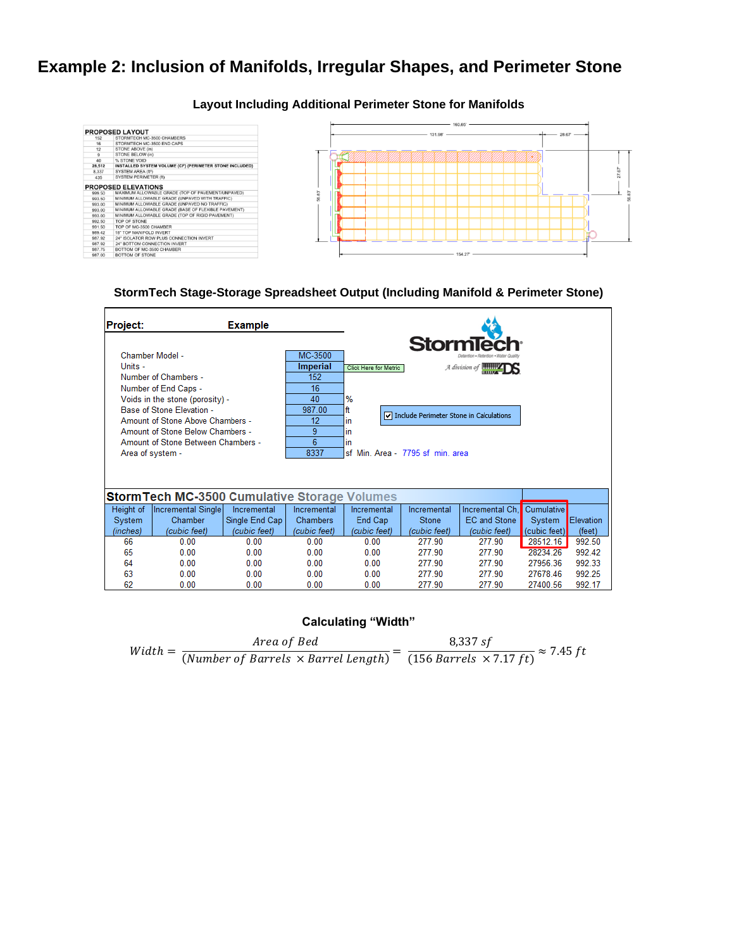# **Example 2: Inclusion of Manifolds, Irregular Shapes, and Perimeter Stone**

#### **Layout Including Additional Perimeter Stone for Manifolds**



#### **StormTech Stage-Storage Spreadsheet Output (Including Manifold & Perimeter Stone)**

| Project:         |                                                      | <b>Example</b> |                 |                                  |                                         |                              |                   |           |
|------------------|------------------------------------------------------|----------------|-----------------|----------------------------------|-----------------------------------------|------------------------------|-------------------|-----------|
|                  |                                                      |                |                 |                                  | <b>StormTe</b>                          |                              |                   |           |
| Chamber Model -  |                                                      |                | MC-3500         |                                  |                                         |                              |                   |           |
| Units -          |                                                      |                | <b>Imperial</b> | Click Here for Metric            |                                         | A division of <b>Hillips</b> |                   |           |
|                  | Number of Chambers -                                 |                | 152             |                                  |                                         |                              |                   |           |
|                  | Number of End Caps -                                 |                | 16              |                                  |                                         |                              |                   |           |
|                  | Voids in the stone (porosity) -                      |                | 40              | %                                |                                         |                              |                   |           |
|                  | Base of Stone Elevation -                            |                | 987.00          | ft                               |                                         |                              |                   |           |
|                  | Amount of Stone Above Chambers -                     |                | 12              | in                               | Include Perimeter Stone in Calculations |                              |                   |           |
|                  | Amount of Stone Below Chambers -                     |                | 9               | in                               |                                         |                              |                   |           |
|                  | Amount of Stone Between Chambers -                   |                | 6               | in.                              |                                         |                              |                   |           |
| Area of system - |                                                      |                | 8337            | sf Min. Area - 7795 sf min. area |                                         |                              |                   |           |
|                  |                                                      |                |                 |                                  |                                         |                              |                   |           |
|                  |                                                      |                |                 |                                  |                                         |                              |                   |           |
|                  | <b>Storm Tech MC-3500 Cumulative Storage Volumes</b> |                |                 |                                  |                                         |                              |                   |           |
| Height of        | Incremental Single                                   | Incremental    | Incremental     | Incremental                      | Incremental                             | Incremental Ch.              | <b>Cumulative</b> |           |
| System           | Chamber                                              | Single End Cap | Chambers        | End Cap                          | Stone                                   | <b>EC</b> and Stone          | System            | Elevation |
| (inches)         | (cubic feet)                                         | (cubic feet)   | (cubic feet)    | (cubic feet)                     | (cubic feet)                            | (cubic feet)                 | (cubic feet)      | (feet)    |
| 66               | 0.00                                                 | 0.00           | 0.00            | 0.00                             | 277.90                                  | 277.90                       | 28512.16          | 992.50    |
| 65               | 0.00                                                 | 0.00           | 0.00            | 0.00                             | 277 90                                  | 277.90                       | 28234.26          | 992.42    |
| 64               | 0.00                                                 | 0.00           | 0.00            | 0.00                             | 277 90                                  | 277 90                       | 27956.36          | 992.33    |
| 63               | 0.00                                                 | 0.00           | 0.00            | 0.00                             | 277.90                                  | 277.90                       | 2767846           | 992.25    |
| 62               | 0.00                                                 | 0.00           | 0.00            | 0.00                             | 277.90                                  | 277.90                       | 27400.56          | 992.17    |

#### **Calculating "Width"**

| $Width =$ | Area of Bed                                | 8,337 sf<br>$\approx$ 7.45 ft       |  |
|-----------|--------------------------------------------|-------------------------------------|--|
|           | (Number of Barrels $\times$ Barrel Length) | $(156 \,Barrels \times 7.17 \, ft)$ |  |